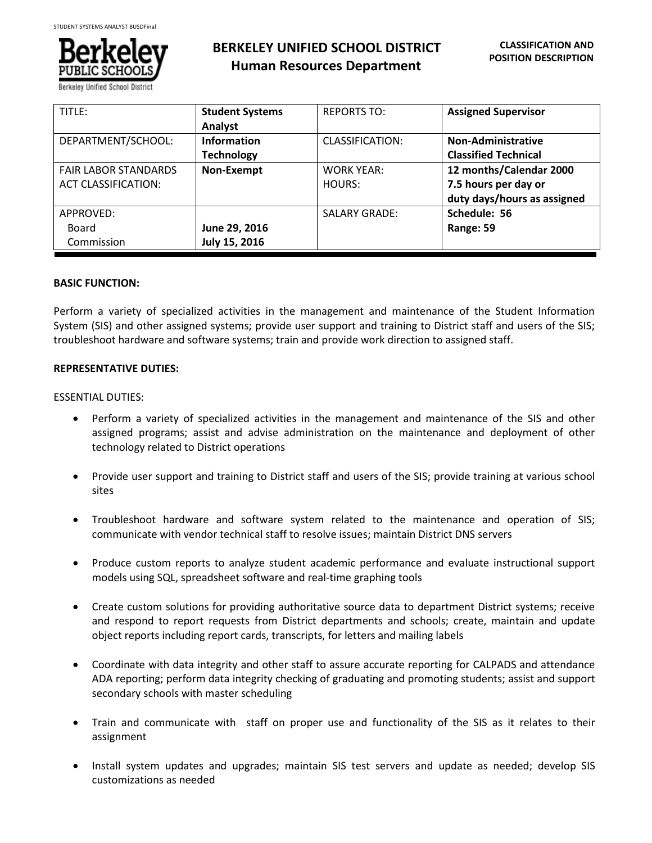

# **BERKELEY UNIFIED SCHOOL DISTRICT Human Resources Department**

| TITLE:                                             | <b>Student Systems</b><br>Analyst       | <b>REPORTS TO:</b>          | <b>Assigned Supervisor</b>                                                     |
|----------------------------------------------------|-----------------------------------------|-----------------------------|--------------------------------------------------------------------------------|
| DEPARTMENT/SCHOOL:                                 | <b>Information</b><br><b>Technology</b> | CLASSIFICATION:             | <b>Non-Administrative</b><br><b>Classified Technical</b>                       |
| <b>FAIR LABOR STANDARDS</b><br>ACT CLASSIFICATION: | Non-Exempt                              | <b>WORK YEAR:</b><br>HOURS: | 12 months/Calendar 2000<br>7.5 hours per day or<br>duty days/hours as assigned |
| APPROVED:<br>Board<br>Commission                   | June 29, 2016<br>July 15, 2016          | <b>SALARY GRADE:</b>        | Schedule: 56<br>Range: 59                                                      |

# **BASIC FUNCTION:**

Perform a variety of specialized activities in the management and maintenance of the Student Information System (SIS) and other assigned systems; provide user support and training to District staff and users of the SIS; troubleshoot hardware and software systems; train and provide work direction to assigned staff.

# **REPRESENTATIVE DUTIES:**

ESSENTIAL DUTIES:

- Perform a variety of specialized activities in the management and maintenance of the SIS and other assigned programs; assist and advise administration on the maintenance and deployment of other technology related to District operations
- Provide user support and training to District staff and users of the SIS; provide training at various school sites
- Troubleshoot hardware and software system related to the maintenance and operation of SIS; communicate with vendor technical staff to resolve issues; maintain District DNS servers
- Produce custom reports to analyze student academic performance and evaluate instructional support models using SQL, spreadsheet software and real-time graphing tools
- Create custom solutions for providing authoritative source data to department District systems; receive and respond to report requests from District departments and schools; create, maintain and update object reports including report cards, transcripts, for letters and mailing labels
- Coordinate with data integrity and other staff to assure accurate reporting for CALPADS and attendance ADA reporting; perform data integrity checking of graduating and promoting students; assist and support secondary schools with master scheduling
- Train and communicate with staff on proper use and functionality of the SIS as it relates to their assignment
- Install system updates and upgrades; maintain SIS test servers and update as needed; develop SIS customizations as needed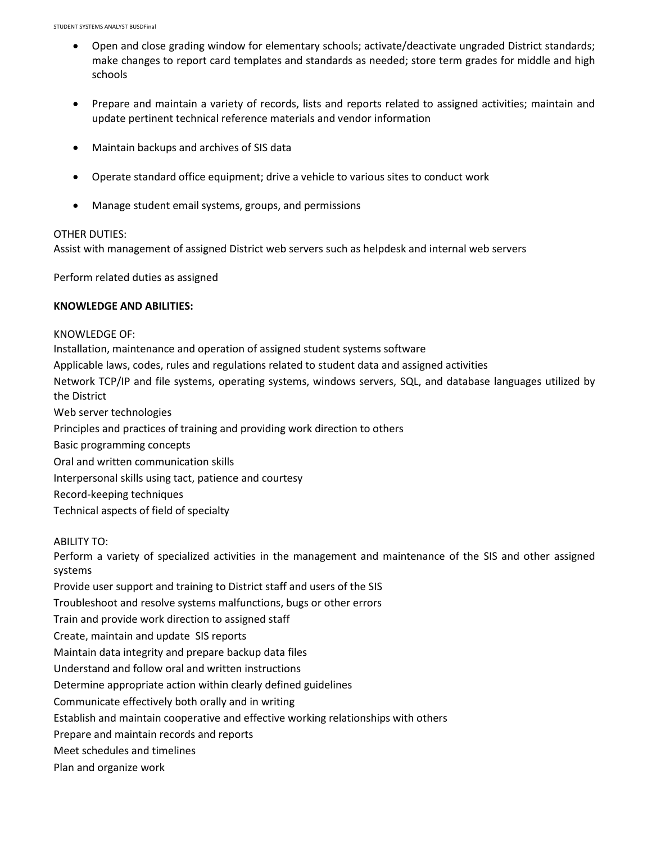- Open and close grading window for elementary schools; activate/deactivate ungraded District standards; make changes to report card templates and standards as needed; store term grades for middle and high schools
- Prepare and maintain a variety of records, lists and reports related to assigned activities; maintain and update pertinent technical reference materials and vendor information
- Maintain backups and archives of SIS data
- Operate standard office equipment; drive a vehicle to various sites to conduct work
- Manage student email systems, groups, and permissions

# OTHER DUTIES:

Assist with management of assigned District web servers such as helpdesk and internal web servers

Perform related duties as assigned

# **KNOWLEDGE AND ABILITIES:**

KNOWLEDGE OF: Installation, maintenance and operation of assigned student systems software Applicable laws, codes, rules and regulations related to student data and assigned activities Network TCP/IP and file systems, operating systems, windows servers, SQL, and database languages utilized by the District Web server technologies Principles and practices of training and providing work direction to others Basic programming concepts Oral and written communication skills Interpersonal skills using tact, patience and courtesy Record-keeping techniques Technical aspects of field of specialty

#### ABILITY TO:

Perform a variety of specialized activities in the management and maintenance of the SIS and other assigned systems

Provide user support and training to District staff and users of the SIS

Troubleshoot and resolve systems malfunctions, bugs or other errors

Train and provide work direction to assigned staff

Create, maintain and update SIS reports

Maintain data integrity and prepare backup data files

Understand and follow oral and written instructions

Determine appropriate action within clearly defined guidelines

Communicate effectively both orally and in writing

Establish and maintain cooperative and effective working relationships with others

Prepare and maintain records and reports

Meet schedules and timelines

Plan and organize work